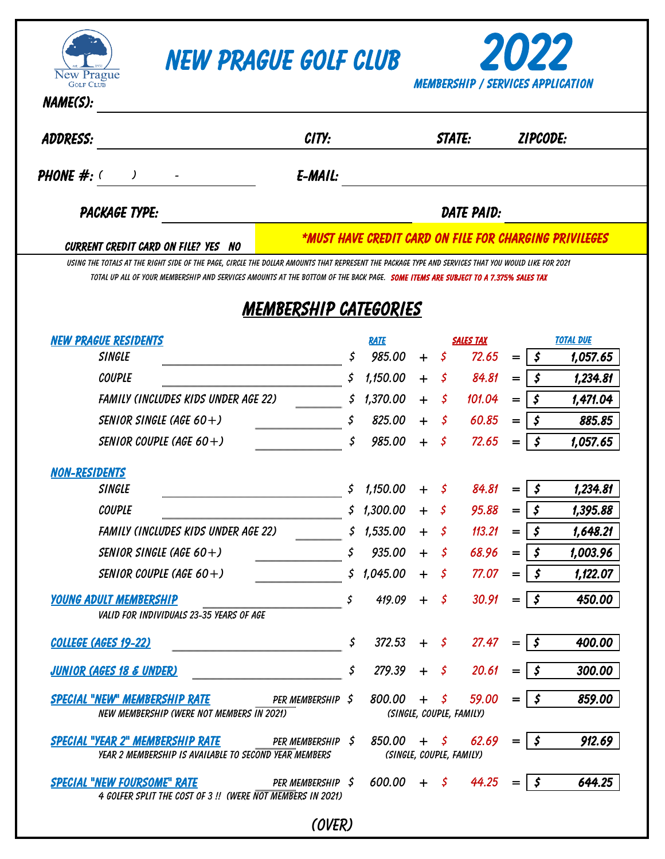

## *New Prague Golf Club 2022*



| <b>ADDRESS:</b>                                                                                                                                                                                                                                                                                 | CITY:                                                  |                   |                             | <b>STATE:</b>                                                  |                    | <b>ZIPCODE:</b>  |          |  |  |
|-------------------------------------------------------------------------------------------------------------------------------------------------------------------------------------------------------------------------------------------------------------------------------------------------|--------------------------------------------------------|-------------------|-----------------------------|----------------------------------------------------------------|--------------------|------------------|----------|--|--|
| <b>PHONE</b> $#$ : $($<br>$\lambda$                                                                                                                                                                                                                                                             | E-MAIL:                                                |                   |                             |                                                                |                    |                  |          |  |  |
| <b>PACKAGE TYPE:</b>                                                                                                                                                                                                                                                                            |                                                        | <b>DATE PAID:</b> |                             |                                                                |                    |                  |          |  |  |
| <b>CURRENT CREDIT CARD ON FILE? YES NO</b>                                                                                                                                                                                                                                                      | *MUST HAVE CREDIT CARD ON FILE FOR CHARGING PRIVILEGES |                   |                             |                                                                |                    |                  |          |  |  |
| USING THE TOTALS AT THE RIGHT SIDE OF THE PAGE. CIRCLE THE DOLLAR AMOUNTS THAT REPRESENT THE PACKAGE TYPE AND SERVICES THAT YOU WOULD LIKE FOR 2021<br>TOTAL UP ALL OF YOUR MEMBERSHIP AND SERVICES AMOUNTS AT THE BOTTOM OF THE BACK PAGE. <b>SOME ITEMS ARE SUBJECT TO A 7.375% SALES TAX</b> |                                                        |                   |                             |                                                                |                    |                  |          |  |  |
|                                                                                                                                                                                                                                                                                                 | MEMBERSHIP CATEGORIES                                  |                   |                             |                                                                |                    |                  |          |  |  |
| <b>NEW PRAGUE RESIDENTS</b>                                                                                                                                                                                                                                                                     |                                                        | <b>RATE</b>       | <b>SALES TAX</b>            |                                                                |                    | <b>TOTAL DUE</b> |          |  |  |
| <b>SINGLE</b>                                                                                                                                                                                                                                                                                   | \$                                                     | 985.00            | - \$<br>$+$                 | 72.65                                                          | $=$                | \$               | 1,057.65 |  |  |
| <b>COUPLE</b>                                                                                                                                                                                                                                                                                   |                                                        | 1,150.00          | $\mathfrak{S}$<br>$\ddot{}$ | 84.81                                                          | $=$                | \$               | 1,234.81 |  |  |
| FAMILY (INCLUDES KIDS UNDER AGE 22)                                                                                                                                                                                                                                                             | \$                                                     | 1,370.00          | \$<br>$+$                   | 101.04                                                         | $=$                | \$               | 1,471.04 |  |  |
| SENIOR SINGLE (AGE 60+)                                                                                                                                                                                                                                                                         | \$                                                     | 825.00            | -\$<br>$+$                  | 60.85                                                          | $=$                | \$               | 885.85   |  |  |
| SENIOR COUPLE (AGE 60+)                                                                                                                                                                                                                                                                         | \$                                                     | 985.00            | -S<br>$+$                   | 72.65                                                          | $=$                | \$               | 1,057.65 |  |  |
| <b>NON-RESIDENTS</b>                                                                                                                                                                                                                                                                            |                                                        |                   |                             |                                                                |                    |                  |          |  |  |
| <b>SINGLE</b>                                                                                                                                                                                                                                                                                   | \$                                                     | 1,150.00          | $\pm$<br>- S                | 84.81                                                          | $=$                | $\mathfrak{s}$   | 1,234.81 |  |  |
| <b>COUPLE</b>                                                                                                                                                                                                                                                                                   |                                                        | \$1,300.00        | $+$<br>-S                   | 95.88                                                          | $=$                | \$               | 1,395.88 |  |  |
| <b>FAMILY (INCLUDES KIDS UNDER AGE 22)</b>                                                                                                                                                                                                                                                      | s                                                      | 1,535.00          | - \$<br>$+$                 | 113.21                                                         | $=$                | \$               | 1,648.21 |  |  |
| SENIOR SINGLE (AGE 60+)                                                                                                                                                                                                                                                                         |                                                        | 935.00            | $+$<br>- 5                  | 68.96                                                          | $=$                | \$               | 1,003.96 |  |  |
| SENIOR COUPLE (AGE 60+)                                                                                                                                                                                                                                                                         | S                                                      | 1,045.00          | - 5<br>┿                    | 77.07                                                          |                    | \$               | 1,122.07 |  |  |
| <u>YOUNG ADULT MEMBERSHIP</u><br>VALID FOR INDIVIDUALS 23-35 YEARS OF AGE                                                                                                                                                                                                                       |                                                        | $419.09 + 5$      |                             | $30.91 =  $ \$                                                 |                    |                  | 450.00   |  |  |
| COLLEGE (AGES 19-22)                                                                                                                                                                                                                                                                            | \$                                                     |                   |                             | $372.53 + 5$ 27.47                                             | $=$   \$           |                  | 400.00   |  |  |
| <b>JUNIOR (AGES 18 &amp; UNDER)</b>                                                                                                                                                                                                                                                             | \$                                                     | 279.39            | $+$ \$                      | 20.61                                                          | $=$                | - \$             | 300.00   |  |  |
| SPECIAL "NEW" MEMBERSHIP RATE<br>NEW MEMBERSHIP (WERE NOT MEMBERS IN 2021)                                                                                                                                                                                                                      | PER MEMBERSHIP \$                                      | 800.00            | $+$ \$                      | 59.00<br>(SINGLE, COUPLE, FAMILY)                              | $=$ $\overline{ }$ | \$               | 859.00   |  |  |
| SPECIAL "YEAR 2" MEMBERSHIP RATE<br>YEAR 2 MEMBERSHIP IS AVAILABLE TO SECOND YEAR MEMBERS                                                                                                                                                                                                       | PER MEMBERSHIP \$                                      |                   |                             | $850.00 + 5$ 62.69 = $\frac{1}{5}$<br>(SINGLE, COUPLE, FAMILY) |                    |                  | 912.69   |  |  |
| <b>SPECIAL "NEW FOURSOME" RATE</b>                                                                                                                                                                                                                                                              | PER MEMBERSHIP \$                                      | $600.00 + 5$      |                             | 44.25                                                          |                    | - \$             | 644.25   |  |  |